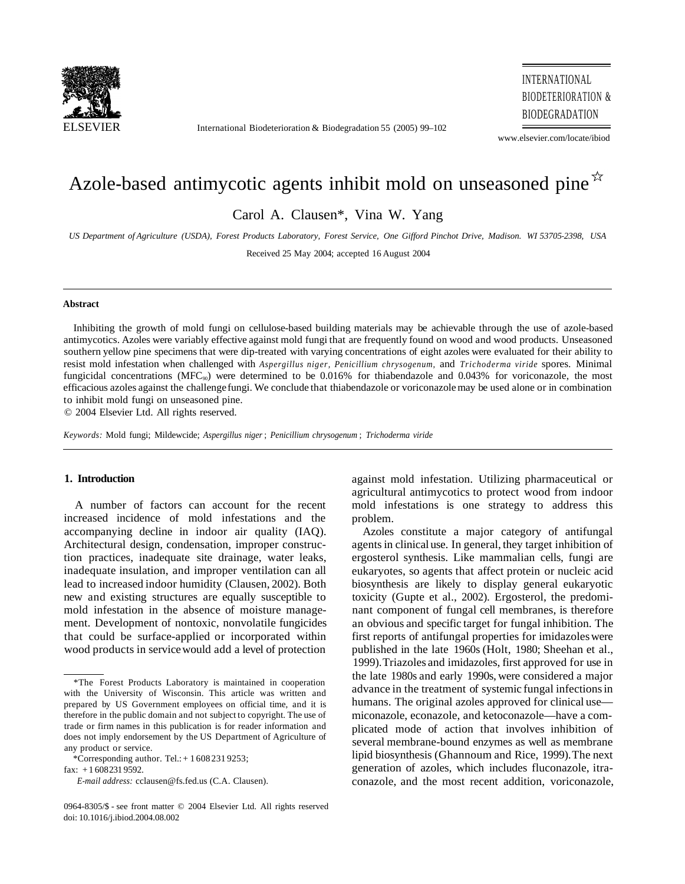

International Biodeterioration & Biodegradation 55 (2005) 99-102

INTERNATIONAL BIODETERIORATION & BIODEGRADATION

www.elsevier.com/locate/ibiod

# Azole-based antimycotic agents inhibit mold on unseasoned pine  $\overrightarrow{r}$

Carol A. Clausen\*, Vina W. Yang

*US Department of Agriculture (USDA), Forest Products Laboratory, Forest Service, One Gifford Pinchot Drive, Madison. WI 53705-2398, USA* 

Received 25 May 2004; accepted 16 August 2004

#### **Abstract**

Inhibiting the growth of mold fungi on cellulose-based building materials may be achievable through the use of azole-based antimycotics. Azoles were variably effective against mold fungi that are frequently found on wood and wood products. Unseasoned southern yellow pine specimens that were dip-treated with varying concentrations of eight azoles were evaluated for their ability to resist mold infestation when challenged with *Aspergillus niger, Penicillium chrysogenum,* and *Trichoderma viride* spores. Minimal fungicidal concentrations (MFC<sub>90</sub>) were determined to be  $0.016\%$  for thiabendazole and  $0.043\%$  for voriconazole, the most efficacious azoles against the challenge fungi. We conclude that thiabendazole or voriconazole may be used alone or in combination to inhibit mold fungi on unseasoned pine.

© 2004 Elsevier Ltd. All rights reserved.

*Keywords:* Mold fungi; Mildewcide; *Aspergillus niger* ; *Penicillium chrysogenum* ; *Trichoderma viride* 

# **1. Introduction**

A number of factors can account for the recent increased incidence of mold infestations and the accompanying decline in indoor air quality (IAQ). Architectural design, condensation, improper construction practices, inadequate site drainage, water leaks, inadequate insulation, and improper ventilation can all lead to increased indoor humidity (Clausen, 2002). Both new and existing structures are equally susceptible to mold infestation in the absence of moisture management. Development of nontoxic, nonvolatile fungicides that could be surface-applied or incorporated within wood products in service would add a level of protection

against mold infestation. Utilizing pharmaceutical or agricultural antimycotics to protect wood from indoor mold infestations is one strategy to address this problem.

Azoles constitute a major category of antifungal agents in clinical use. In general, they target inhibition of ergosterol synthesis. Like mammalian cells, fungi are eukaryotes, so agents that affect protein or nucleic acid biosynthesis are likely to display general eukaryotic toxicity (Gupte et al., 2002). Ergosterol, the predominant component of fungal cell membranes, is therefore an obvious and specific target for fungal inhibition. The first reports of antifungal properties for imidazoles were published in the late 1960s (Holt, 1980; Sheehan et al., 1999). Triazoles and imidazoles, first approved for use in the late 1980s and early 1990s, were considered a major advance in the treatment of systemic fungal infections in humans. The original azoles approved for clinical use miconazole, econazole, and ketoconazole—have a complicated mode of action that involves inhibition of several membrane-bound enzymes as well as membrane lipid biosynthesis (Ghannoum and Rice, 1999). The next generation of azoles, which includes fluconazole, itraconazole, and the most recent addition, voriconazole,

<sup>\*</sup>The Forest Products Laboratory is maintained in cooperation with the University of Wisconsin. This article was written and prepared by US Government employees on official time, and it is therefore in the public domain and not subject to copyright. The use of trade or firm names in this publication is for reader information and does not imply endorsement by the US Department of Agriculture of any product or service.

<sup>\*</sup>Corresponding author. Tel.:  $+ 16082319253$ ;

fax: + 1 608 231 9592.

*E-mail address:* cclausen@fs.fed.us (C.A. Clausen).

<sup>0964-8305/\$ -</sup> see front matter © 2004 Elsevier Ltd. All rights reserved doi: 10.1016/j.ibiod.2004.08.002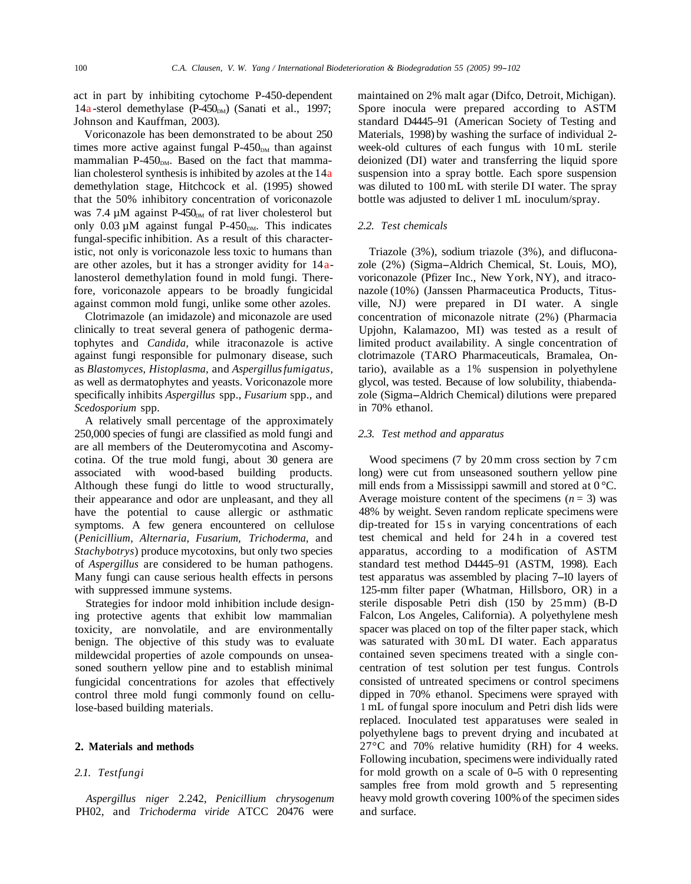act in part by inhibiting cytochome P-450-dependent 14a-sterol demethylase  $(P-450<sub>DM</sub>)$  (Sanati et al., 1997; Johnson and Kauffman, 2003).

Voriconazole has been demonstrated to be about 250 times more active against fungal  $P-450<sub>DM</sub>$  than against mammalian P-450 $_{DM}$ . Based on the fact that mammalian cholesterol synthesis is inhibited by azoles at the 14a demethylation stage, Hitchcock et al. (1995) showed that the 50% inhibitory concentration of voriconazole was 7.4  $\mu$ M against P-450<sub>DM</sub> of rat liver cholesterol but only  $0.03 \mu M$  against fungal P-450<sub>DM</sub>. This indicates fungal-specific inhibition. As a result of this characteristic, not only is voriconazole less toxic to humans than are other azoles, but it has a stronger avidity for  $14a$ lanosterol demethylation found in mold fungi. Therefore, voriconazole appears to be broadly fungicidal against common mold fungi, unlike some other azoles.

Clotrimazole (an imidazole) and miconazole are used clinically to treat several genera of pathogenic dermatophytes and *Candida,* while itraconazole is active against fungi responsible for pulmonary disease, such as *Blastomyces, Histoplasma,* and *Aspergillus fumigatus,*  as well as dermatophytes and yeasts. Voriconazole more specifically inhibits *Aspergillus* spp., *Fusarium* spp., and *Scedosporium* spp.

A relatively small percentage of the approximately 250,000 species of fungi are classified as mold fungi and are all members of the Deuteromycotina and Ascomycotina. Of the true mold fungi, about 30 genera are associated with wood-based building products. Although these fungi do little to wood structurally, their appearance and odor are unpleasant, and they all have the potential to cause allergic or asthmatic symptoms. A few genera encountered on cellulose ( *Penicillium, Alternaria, Fusarium, Trichoderma,* and *Stachybotrys* ) produce mycotoxins, but only two species of *Aspergillus* are considered to be human pathogens. Many fungi can cause serious health effects in persons with suppressed immune systems.

Strategies for indoor mold inhibition include designing protective agents that exhibit low mammalian toxicity, are nonvolatile, and are environmentally benign. The objective of this study was to evaluate mildewcidal properties of azole compounds on unseasoned southern yellow pine and to establish minimal fungicidal concentrations for azoles that effectively control three mold fungi commonly found on cellulose-based building materials.

#### **2. Materials and methods**

# 2.1. Testfungi

*Aspergillus niger* 2.242, *Penicillium chrysogenum*  PH02, and *Trichoderma viride* ATCC 20476 were

maintained on 2% malt agar (Difco, Detroit, Michigan). Spore inocula were prepared according to ASTM standard D4445–91 (American Society of Testing and Materials, 1998) by washing the surface of individual 2 week-old cultures of each fungus with 10 mL sterile deionized (DI) water and transferring the liquid spore suspension into a spray bottle. Each spore suspension was diluted to 100 mL with sterile DI water. The spray bottle was adjusted to deliver 1 mL inoculum/spray.

## *2.2. Test chemicals*

Triazole (3%), sodium triazole (3%), and difluconazole (2%) (Sigma-Aldrich Chemical, St. Louis, MO), voriconazole (Pfizer Inc., New York, NY), and itraconazole (10%) (Janssen Pharmaceutica Products, Titusville, NJ) were prepared in DI water. A single concentration of miconazole nitrate (2%) (Pharmacia Upjohn, Kalamazoo, MI) was tested as a result of limited product availability. A single concentration of clotrimazole (TARO Pharmaceuticals, Bramalea, Ontario), available as a 1% suspension in polyethylene glycol, was tested. Because of low solubility, thiabendazole (Sigma-Aldrich Chemical) dilutions were prepared in 70% ethanol.

#### *2.3. Test method and apparatus*

Wood specimens (7 by 20 mm cross section by 7 cm long) were cut from unseasoned southern yellow pine mill ends from a Mississippi sawmill and stored at  $0^{\circ}$ C. Average moisture content of the specimens  $(n = 3)$  was 48% by weight. Seven random replicate specimens were dip-treated for 15 s in varying concentrations of each test chemical and held for 24 h in a covered test apparatus, according to a modification of ASTM standard test method D4445–91 (ASTM, 1998). Each test apparatus was assembled by placing 7-10 layers of 125-mm filter paper (Whatman, Hillsboro, OR) in a sterile disposable Petri dish (150 by 25 mm) (B-D Falcon, Los Angeles, California). A polyethylene mesh spacer was placed on top of the filter paper stack, which was saturated with 30 mL DI water. Each apparatus contained seven specimens treated with a single concentration of test solution per test fungus. Controls consisted of untreated specimens or control specimens dipped in 70% ethanol. Specimens were sprayed with 1 mL of fungal spore inoculum and Petri dish lids were replaced. Inoculated test apparatuses were sealed in polyethylene bags to prevent drying and incubated at 27°C and 70% relative humidity (RH) for 4 weeks. Following incubation, specimens were individually rated for mold growth on a scale of 0-5 with 0 representing samples free from mold growth and 5 representing heavy mold growth covering 100% of the specimen sides and surface.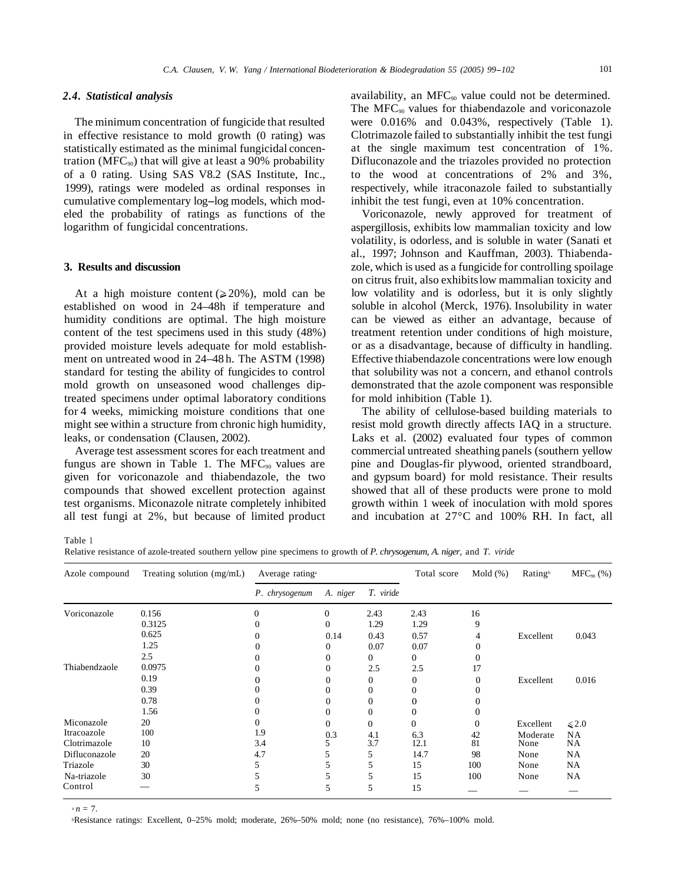#### *2.4. Statistical analysis*

The minimum concentration of fungicide that resulted in effective resistance to mold growth (0 rating) was statistically estimated as the minimal fungicidal concentration (MFC<sub>90</sub>) that will give at least a 90% probability of a 0 rating. Using SAS V8.2 (SAS Institute, Inc., 1999), ratings were modeled as ordinal responses in cumulative complementary log-log models, which modeled the probability of ratings as functions of the logarithm of fungicidal concentrations.

#### **3. Results and discussion**

At a high moisture content  $(20\%)$ , mold can be established on wood in 24–48h if temperature and humidity conditions are optimal. The high moisture content of the test specimens used in this study (48%) provided moisture levels adequate for mold establishment on untreated wood in 24–48 h. The ASTM (1998) standard for testing the ability of fungicides to control mold growth on unseasoned wood challenges diptreated specimens under optimal laboratory conditions for 4 weeks, mimicking moisture conditions that one might see within a structure from chronic high humidity, leaks, or condensation (Clausen, 2002).

Average test assessment scores for each treatment and fungus are shown in Table 1. The  $MFC_{90}$  values are given for voriconazole and thiabendazole, the two compounds that showed excellent protection against test organisms. Miconazole nitrate completely inhibited all test fungi at 2%, but because of limited product

availability, an MFC<sub>90</sub> value could not be determined. The  $MFC_{90}$  values for thiabendazole and voriconazole were 0.016% and 0.043%, respectively (Table 1). Clotrimazole failed to substantially inhibit the test fungi at the single maximum test concentration of 1%. Difluconazole and the triazoles provided no protection to the wood at concentrations of 2% and 3%, respectively, while itraconazole failed to substantially inhibit the test fungi, even at 10% concentration.

Voriconazole, newly approved for treatment of aspergillosis, exhibits low mammalian toxicity and low volatility, is odorless, and is soluble in water (Sanati et al., 1997; Johnson and Kauffman, 2003). Thiabendazole, which is used as a fungicide for controlling spoilage on citrus fruit, also exhibits low mammalian toxicity and low volatility and is odorless, but it is only slightly soluble in alcohol (Merck, 1976). Insolubility in water can be viewed as either an advantage, because of treatment retention under conditions of high moisture, or as a disadvantage, because of difficulty in handling. Effective thiabendazole concentrations were low enough that solubility was not a concern, and ethanol controls demonstrated that the azole component was responsible for mold inhibition (Table 1).

The ability of cellulose-based building materials to resist mold growth directly affects IAQ in a structure. Laks et al. (2002) evaluated four types of common commercial untreated sheathing panels (southern yellow pine and Douglas-fir plywood, oriented strandboard, and gypsum board) for mold resistance. Their results showed that all of these products were prone to mold growth within 1 week of inoculation with mold spores and incubation at 27°C and 100% RH. In fact, all

Table 1

Relative resistance of azole-treated southern yellow pine specimens to growth of *P. chrysogenum, A. niger,* and *T. viride* 

| Azole compound | Treating solution (mg/mL) | Average rating <sup>a</sup> |              |                | Total score  | Mold $(\%)$  | <b>Rating</b> <sup>b</sup> | $MFC_{90}$ (%) |
|----------------|---------------------------|-----------------------------|--------------|----------------|--------------|--------------|----------------------------|----------------|
|                |                           | P. chrysogenum              | A. niger     | T. viride      |              |              |                            |                |
| Voriconazole   | 0.156                     | $\mathbf{0}$                | $\mathbf{0}$ | 2.43           | 2.43         | 16           |                            |                |
|                | 0.3125                    | 0                           | 0            | 1.29           | 1.29         | 9            |                            |                |
|                | 0.625                     | 0                           | 0.14         | 0.43           | 0.57         | 4            | Excellent                  | 0.043          |
|                | 1.25                      |                             | 0            | 0.07           | 0.07         | 0            |                            |                |
|                | 2.5                       | 0                           | 0            | 0              | 0            | $\Omega$     |                            |                |
| Thiabendzaole  | 0.0975                    |                             | 0            | 2.5            | 2.5          | 17           |                            |                |
|                | 0.19                      |                             |              | 0              | $\mathbf{0}$ | 0            | Excellent                  | 0.016          |
|                | 0.39                      |                             |              | 0              | 0            |              |                            |                |
|                | 0.78                      |                             | 0            | $\Omega$       | 0            |              |                            |                |
|                | 1.56                      | 0                           |              | 0              | $\theta$     |              |                            |                |
| Miconazole     | 20                        | $\mathbf{0}$                | 0            | $\overline{0}$ | 0            | $\mathbf{0}$ | Excellent                  | $\leq 2.0$     |
| Itracoazole    | 100                       | 1.9                         | 0.3          | 4.1            | 6.3          | 42           | Moderate                   | <b>NA</b>      |
| Clotrimazole   | 10                        | 3.4                         |              | 3.7            | 12.1         | 81           | None                       | NA             |
| Difluconazole  | 20                        | 4.7                         |              | 5              | 14.7         | 98           | None                       | NA             |
| Triazole       | 30                        |                             |              |                | 15           | 100          | None                       | NA             |
| Na-triazole    | 30                        |                             |              |                | 15           | 100          | None                       | NA             |
| Control        |                           |                             | 5            | 5              | 15           |              |                            |                |

 $n = 7$ .

bResistance ratings: Excellent, 0–25% mold; moderate, 26%–50% mold; none (no resistance), 76%–100% mold.